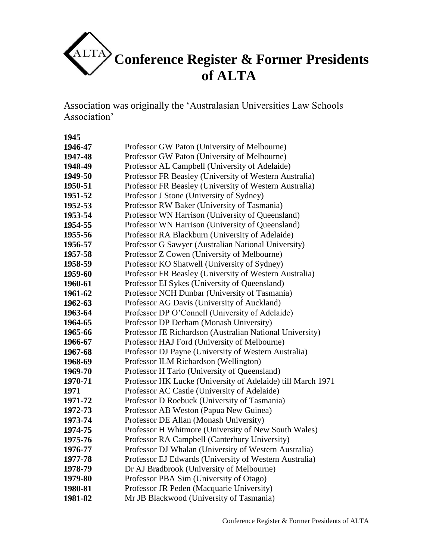

Association was originally the 'Australasian Universities Law Schools Association'

| Professor GW Paton (University of Melbourne)                |
|-------------------------------------------------------------|
| Professor GW Paton (University of Melbourne)                |
| Professor AL Campbell (University of Adelaide)              |
| Professor FR Beasley (University of Western Australia)      |
| Professor FR Beasley (University of Western Australia)      |
| Professor J Stone (University of Sydney)                    |
| Professor RW Baker (University of Tasmania)                 |
| Professor WN Harrison (University of Queensland)            |
| Professor WN Harrison (University of Queensland)            |
| Professor RA Blackburn (University of Adelaide)             |
| Professor G Sawyer (Australian National University)         |
| Professor Z Cowen (University of Melbourne)                 |
| Professor KO Shatwell (University of Sydney)                |
| Professor FR Beasley (University of Western Australia)      |
| Professor EI Sykes (University of Queensland)               |
| Professor NCH Dunbar (University of Tasmania)               |
| Professor AG Davis (University of Auckland)                 |
| Professor DP O'Connell (University of Adelaide)             |
| Professor DP Derham (Monash University)                     |
| Professor JE Richardson (Australian National University)    |
| Professor HAJ Ford (University of Melbourne)                |
| Professor DJ Payne (University of Western Australia)        |
| Professor ILM Richardson (Wellington)                       |
| Professor H Tarlo (University of Queensland)                |
| Professor HK Lucke (University of Adelaide) till March 1971 |
| Professor AC Castle (University of Adelaide)                |
| Professor D Roebuck (University of Tasmania)                |
| Professor AB Weston (Papua New Guinea)                      |
| Professor DE Allan (Monash University)                      |
| Professor H Whitmore (University of New South Wales)        |
| Professor RA Campbell (Canterbury University)               |
| Professor DJ Whalan (University of Western Australia)       |
| Professor EJ Edwards (University of Western Australia)      |
| Dr AJ Bradbrook (University of Melbourne)                   |
| Professor PBA Sim (University of Otago)                     |
| Professor JR Peden (Macquarie University)                   |
| Mr JB Blackwood (University of Tasmania)                    |
|                                                             |